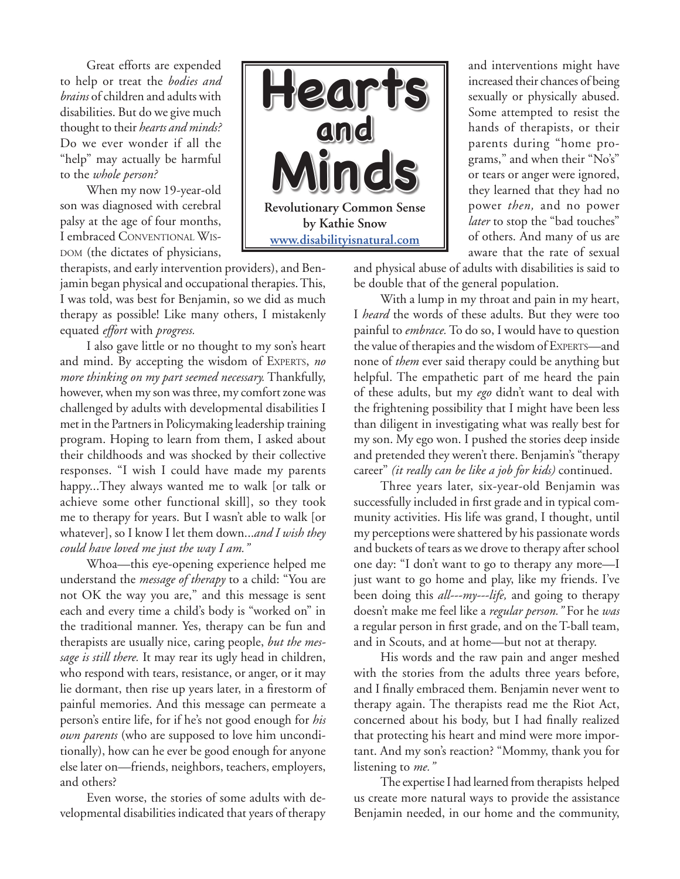Great efforts are expended to help or treat the *bodies and brains* of children and adults with disabilities. But do we give much thought to their *hearts and minds?* Do we ever wonder if all the "help" may actually be harmful to the *whole person?*

When my now 19-year-old son was diagnosed with cerebral palsy at the age of four months, I embraced Conventional Wis-DOM (the dictates of physicians,

therapists, and early intervention providers), and Benjamin began physical and occupational therapies. This, I was told, was best for Benjamin, so we did as much therapy as possible! Like many others, I mistakenly equated *effort* with *progress.*

I also gave little or no thought to my son's heart and mind. By accepting the wisdom of Experts, *no more thinking on my part seemed necessary.* Thankfully, however, when my son was three, my comfort zone was challenged by adults with developmental disabilities I met in the Partners in Policymaking leadership training program. Hoping to learn from them, I asked about their childhoods and was shocked by their collective responses. "I wish I could have made my parents happy...They always wanted me to walk [or talk or achieve some other functional skill], so they took me to therapy for years. But I wasn't able to walk [or whatever], so I know I let them down...*and I wish they could have loved me just the way I am."*

Whoa—this eye-opening experience helped me understand the *message of therapy* to a child: "You are not OK the way you are," and this message is sent each and every time a child's body is "worked on" in the traditional manner. Yes, therapy can be fun and therapists are usually nice, caring people, *but the message is still there.* It may rear its ugly head in children, who respond with tears, resistance, or anger, or it may lie dormant, then rise up years later, in a firestorm of painful memories. And this message can permeate a person's entire life, for if he's not good enough for *his own parents* (who are supposed to love him unconditionally), how can he ever be good enough for anyone else later on—friends, neighbors, teachers, employers, and others?

Even worse, the stories of some adults with developmental disabilities indicated that years of therapy



and interventions might have increased their chances of being sexually or physically abused. Some attempted to resist the hands of therapists, or their parents during "home programs," and when their "No's" or tears or anger were ignored, they learned that they had no power *then,* and no power *later* to stop the "bad touches" of others. And many of us are aware that the rate of sexual

and physical abuse of adults with disabilities is said to be double that of the general population.

With a lump in my throat and pain in my heart, I *heard* the words of these adults. But they were too painful to *embrace.* To do so, I would have to question the value of therapies and the wisdom of Experts—and none of *them* ever said therapy could be anything but helpful. The empathetic part of me heard the pain of these adults, but my *ego* didn't want to deal with the frightening possibility that I might have been less than diligent in investigating what was really best for my son. My ego won. I pushed the stories deep inside and pretended they weren't there. Benjamin's "therapy career" *(it really can be like a job for kids)* continued.

Three years later, six-year-old Benjamin was successfully included in first grade and in typical community activities. His life was grand, I thought, until my perceptions were shattered by his passionate words and buckets of tears as we drove to therapy after school one day: "I don't want to go to therapy any more—I just want to go home and play, like my friends. I've been doing this *all---my---life,* and going to therapy doesn't make me feel like a *regular person."* For he *was* a regular person in first grade, and on the T-ball team, and in Scouts, and at home—but not at therapy.

His words and the raw pain and anger meshed with the stories from the adults three years before, and I finally embraced them. Benjamin never went to therapy again. The therapists read me the Riot Act, concerned about his body, but I had finally realized that protecting his heart and mind were more important. And my son's reaction? "Mommy, thank you for listening to *me."*

The expertise I had learned from therapists helped us create more natural ways to provide the assistance Benjamin needed, in our home and the community,